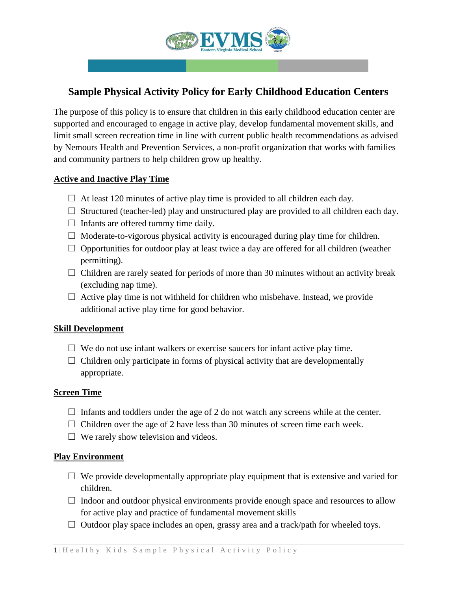

# **Sample Physical Activity Policy for Early Childhood Education Centers**

The purpose of this policy is to ensure that children in this early childhood education center are supported and encouraged to engage in active play, develop fundamental movement skills, and limit small screen recreation time in line with current public health recommendations as advised by Nemours Health and Prevention Services, a non-profit organization that works with families and community partners to help children grow up healthy.

# **Active and Inactive Play Time**

- $\Box$  At least 120 minutes of active play time is provided to all children each day.
- $\Box$  Structured (teacher-led) play and unstructured play are provided to all children each day.
- $\Box$  Infants are offered tummy time daily.
- $\Box$  Moderate-to-vigorous physical activity is encouraged during play time for children.
- $\Box$  Opportunities for outdoor play at least twice a day are offered for all children (weather permitting).
- $\Box$  Children are rarely seated for periods of more than 30 minutes without an activity break (excluding nap time).
- $\Box$  Active play time is not withheld for children who misbehave. Instead, we provide additional active play time for good behavior.

### **Skill Development**

- $\Box$  We do not use infant walkers or exercise saucers for infant active play time.
- $\Box$  Children only participate in forms of physical activity that are developmentally appropriate.

### **Screen Time**

- $\Box$  Infants and toddlers under the age of 2 do not watch any screens while at the center.
- $\Box$  Children over the age of 2 have less than 30 minutes of screen time each week.
- $\Box$  We rarely show television and videos.

### **Play Environment**

- $\Box$  We provide developmentally appropriate play equipment that is extensive and varied for children.
- $\Box$  Indoor and outdoor physical environments provide enough space and resources to allow for active play and practice of fundamental movement skills
- $\Box$  Outdoor play space includes an open, grassy area and a track/path for wheeled toys.